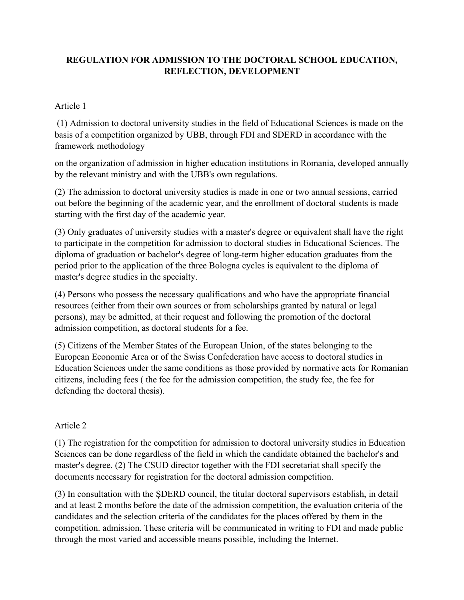## **REGULATION FOR ADMISSION TO THE DOCTORAL SCHOOL EDUCATION, REFLECTION, DEVELOPMENT**

## Article 1

(1) Admission to doctoral university studies in the field of Educational Sciences is made on the basis of a competition organized by UBB, through FDI and SDERD in accordance with the framework methodology

on the organization of admission in higher education institutions in Romania, developed annually by the relevant ministry and with the UBB's own regulations.

(2) The admission to doctoral university studies is made in one or two annual sessions, carried out before the beginning of the academic year, and the enrollment of doctoral students is made starting with the first day of the academic year.

(3) Only graduates of university studies with a master's degree or equivalent shall have the right to participate in the competition for admission to doctoral studies in Educational Sciences. The diploma of graduation or bachelor's degree of long-term higher education graduates from the period prior to the application of the three Bologna cycles is equivalent to the diploma of master's degree studies in the specialty.

(4) Persons who possess the necessary qualifications and who have the appropriate financial resources (either from their own sources or from scholarships granted by natural or legal persons), may be admitted, at their request and following the promotion of the doctoral admission competition, as doctoral students for a fee.

(5) Citizens of the Member States of the European Union, of the states belonging to the European Economic Area or of the Swiss Confederation have access to doctoral studies in Education Sciences under the same conditions as those provided by normative acts for Romanian citizens, including fees ( the fee for the admission competition, the study fee, the fee for defending the doctoral thesis).

## Article 2

(1) The registration for the competition for admission to doctoral university studies in Education Sciences can be done regardless of the field in which the candidate obtained the bachelor's and master's degree. (2) The CSUD director together with the FDI secretariat shall specify the documents necessary for registration for the doctoral admission competition.

(3) In consultation with the ȘDERD council, the titular doctoral supervisors establish, in detail and at least 2 months before the date of the admission competition, the evaluation criteria of the candidates and the selection criteria of the candidates for the places offered by them in the competition. admission. These criteria will be communicated in writing to FDI and made public through the most varied and accessible means possible, including the Internet.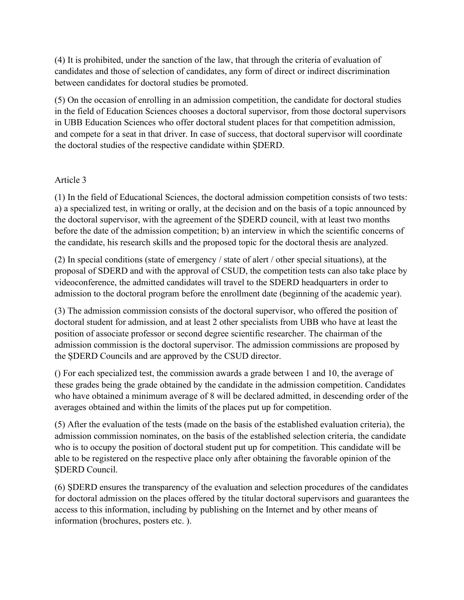(4) It is prohibited, under the sanction of the law, that through the criteria of evaluation of candidates and those of selection of candidates, any form of direct or indirect discrimination between candidates for doctoral studies be promoted.

(5) On the occasion of enrolling in an admission competition, the candidate for doctoral studies in the field of Education Sciences chooses a doctoral supervisor, from those doctoral supervisors in UBB Education Sciences who offer doctoral student places for that competition admission, and compete for a seat in that driver. In case of success, that doctoral supervisor will coordinate the doctoral studies of the respective candidate within ȘDERD.

## Article 3

(1) In the field of Educational Sciences, the doctoral admission competition consists of two tests: a) a specialized test, in writing or orally, at the decision and on the basis of a topic announced by the doctoral supervisor, with the agreement of the ȘDERD council, with at least two months before the date of the admission competition; b) an interview in which the scientific concerns of the candidate, his research skills and the proposed topic for the doctoral thesis are analyzed.

(2) In special conditions (state of emergency / state of alert / other special situations), at the proposal of SDERD and with the approval of CSUD, the competition tests can also take place by videoconference, the admitted candidates will travel to the SDERD headquarters in order to admission to the doctoral program before the enrollment date (beginning of the academic year).

(3) The admission commission consists of the doctoral supervisor, who offered the position of doctoral student for admission, and at least 2 other specialists from UBB who have at least the position of associate professor or second degree scientific researcher. The chairman of the admission commission is the doctoral supervisor. The admission commissions are proposed by the ȘDERD Councils and are approved by the CSUD director.

() For each specialized test, the commission awards a grade between 1 and 10, the average of these grades being the grade obtained by the candidate in the admission competition. Candidates who have obtained a minimum average of 8 will be declared admitted, in descending order of the averages obtained and within the limits of the places put up for competition.

(5) After the evaluation of the tests (made on the basis of the established evaluation criteria), the admission commission nominates, on the basis of the established selection criteria, the candidate who is to occupy the position of doctoral student put up for competition. This candidate will be able to be registered on the respective place only after obtaining the favorable opinion of the ȘDERD Council.

(6) ȘDERD ensures the transparency of the evaluation and selection procedures of the candidates for doctoral admission on the places offered by the titular doctoral supervisors and guarantees the access to this information, including by publishing on the Internet and by other means of information (brochures, posters etc. ).